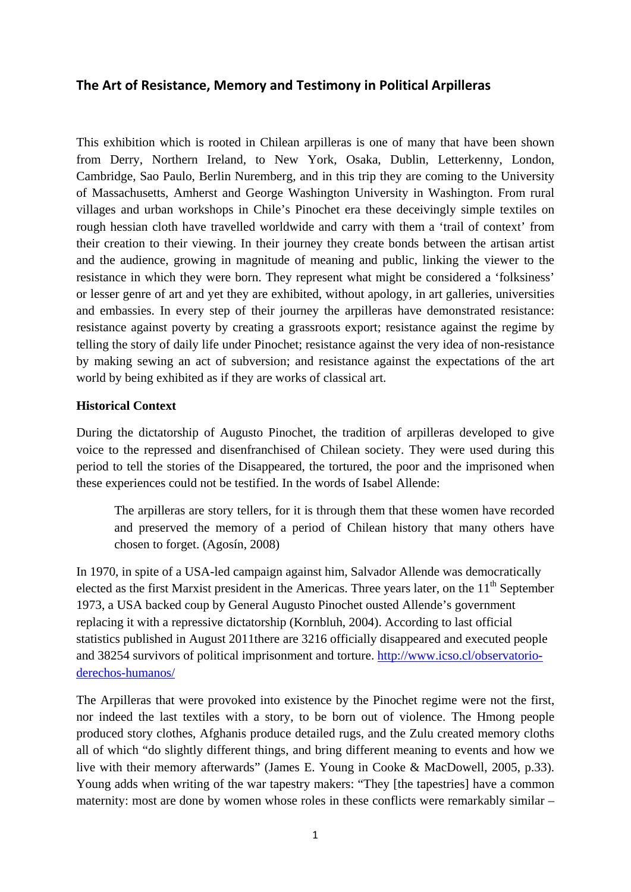# **The Art of Resistance, Memory and Testimony in Political Arpilleras**

This exhibition which is rooted in Chilean arpilleras is one of many that have been shown from Derry, Northern Ireland, to New York, Osaka, Dublin, Letterkenny, London, Cambridge, Sao Paulo, Berlin Nuremberg, and in this trip they are coming to the University of Massachusetts, Amherst and George Washington University in Washington. From rural villages and urban workshops in Chile's Pinochet era these deceivingly simple textiles on rough hessian cloth have travelled worldwide and carry with them a 'trail of context' from their creation to their viewing. In their journey they create bonds between the artisan artist and the audience, growing in magnitude of meaning and public, linking the viewer to the resistance in which they were born. They represent what might be considered a 'folksiness' or lesser genre of art and yet they are exhibited, without apology, in art galleries, universities and embassies. In every step of their journey the arpilleras have demonstrated resistance: resistance against poverty by creating a grassroots export; resistance against the regime by telling the story of daily life under Pinochet; resistance against the very idea of non-resistance by making sewing an act of subversion; and resistance against the expectations of the art world by being exhibited as if they are works of classical art.

## **Historical Context**

During the dictatorship of Augusto Pinochet, the tradition of arpilleras developed to give voice to the repressed and disenfranchised of Chilean society. They were used during this period to tell the stories of the Disappeared, the tortured, the poor and the imprisoned when these experiences could not be testified. In the words of Isabel Allende:

The arpilleras are story tellers, for it is through them that these women have recorded and preserved the memory of a period of Chilean history that many others have chosen to forget. (Agosín, 2008)

In 1970, in spite of a USA-led campaign against him, Salvador Allende was democratically elected as the first Marxist president in the Americas. Three years later, on the  $11<sup>th</sup>$  September 1973, a USA backed coup by General Augusto Pinochet ousted Allende's government replacing it with a repressive dictatorship (Kornbluh, 2004). According to last official statistics published in August 2011there are 3216 officially disappeared and executed people and 38254 survivors of political imprisonment and torture. [http://www.icso.cl/observatorio](http://www.icso.cl/observatorio-derechos-humanos/)[derechos-humanos/](http://www.icso.cl/observatorio-derechos-humanos/)

The Arpilleras that were provoked into existence by the Pinochet regime were not the first, nor indeed the last textiles with a story, to be born out of violence. The Hmong people produced story clothes, Afghanis produce detailed rugs, and the Zulu created memory cloths all of which "do slightly different things, and bring different meaning to events and how we live with their memory afterwards" (James E. Young in Cooke & MacDowell, 2005, p.33). Young adds when writing of the war tapestry makers: "They [the tapestries] have a common maternity: most are done by women whose roles in these conflicts were remarkably similar –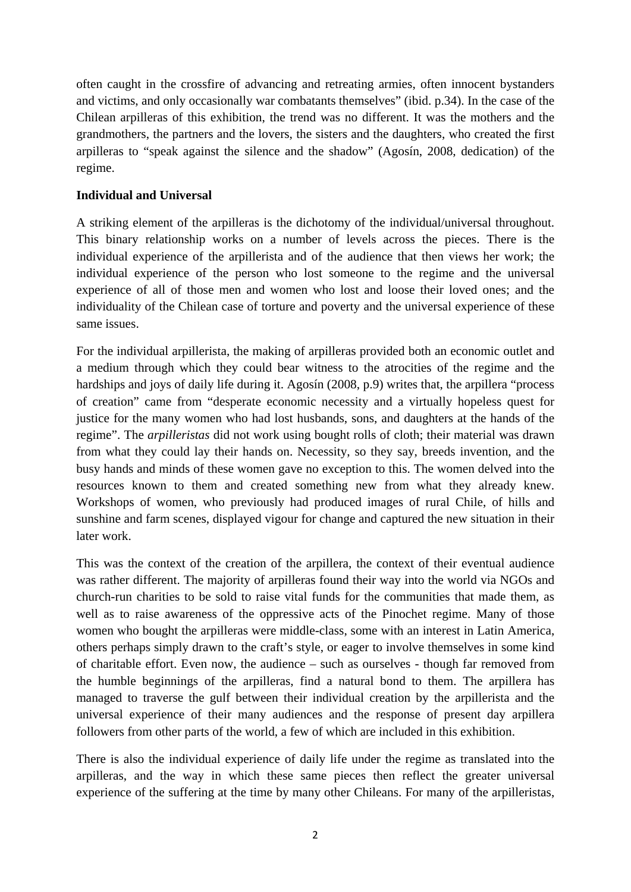often caught in the crossfire of advancing and retreating armies, often innocent bystanders and victims, and only occasionally war combatants themselves" (ibid. p.34). In the case of the Chilean arpilleras of this exhibition, the trend was no different. It was the mothers and the grandmothers, the partners and the lovers, the sisters and the daughters, who created the first arpilleras to "speak against the silence and the shadow" (Agosín, 2008, dedication) of the regime.

# **Individual and Universal**

A striking element of the arpilleras is the dichotomy of the individual/universal throughout. This binary relationship works on a number of levels across the pieces. There is the individual experience of the arpillerista and of the audience that then views her work; the individual experience of the person who lost someone to the regime and the universal experience of all of those men and women who lost and loose their loved ones; and the individuality of the Chilean case of torture and poverty and the universal experience of these same issues.

For the individual arpillerista, the making of arpilleras provided both an economic outlet and a medium through which they could bear witness to the atrocities of the regime and the hardships and joys of daily life during it. Agosín (2008, p.9) writes that, the arpillera "process of creation" came from "desperate economic necessity and a virtually hopeless quest for justice for the many women who had lost husbands, sons, and daughters at the hands of the regime". The *arpilleristas* did not work using bought rolls of cloth; their material was drawn from what they could lay their hands on. Necessity, so they say, breeds invention, and the busy hands and minds of these women gave no exception to this. The women delved into the resources known to them and created something new from what they already knew. Workshops of women, who previously had produced images of rural Chile, of hills and sunshine and farm scenes, displayed vigour for change and captured the new situation in their later work.

This was the context of the creation of the arpillera, the context of their eventual audience was rather different. The majority of arpilleras found their way into the world via NGOs and church-run charities to be sold to raise vital funds for the communities that made them, as well as to raise awareness of the oppressive acts of the Pinochet regime. Many of those women who bought the arpilleras were middle-class, some with an interest in Latin America, others perhaps simply drawn to the craft's style, or eager to involve themselves in some kind of charitable effort. Even now, the audience – such as ourselves - though far removed from the humble beginnings of the arpilleras, find a natural bond to them. The arpillera has managed to traverse the gulf between their individual creation by the arpillerista and the universal experience of their many audiences and the response of present day arpillera followers from other parts of the world, a few of which are included in this exhibition.

There is also the individual experience of daily life under the regime as translated into the arpilleras, and the way in which these same pieces then reflect the greater universal experience of the suffering at the time by many other Chileans. For many of the arpilleristas,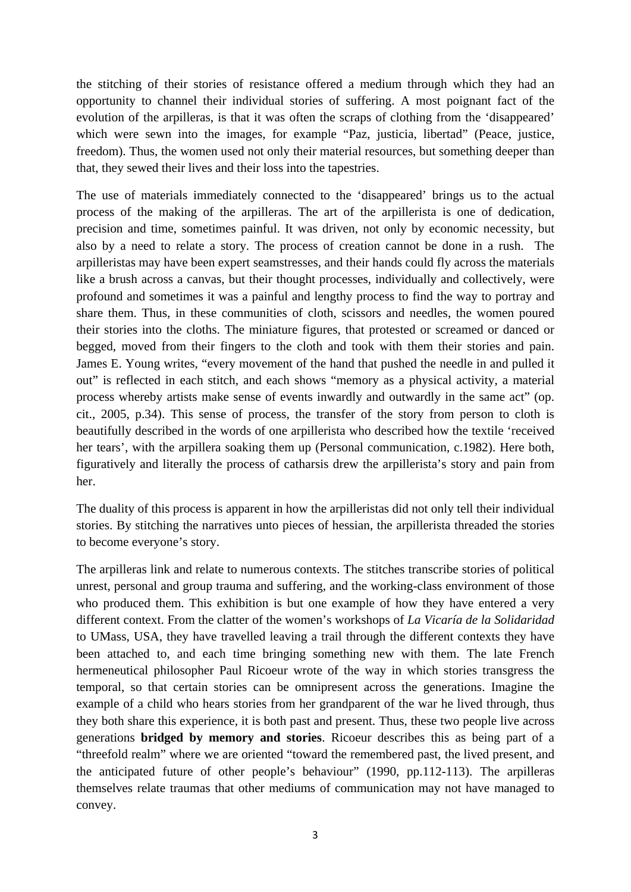the stitching of their stories of resistance offered a medium through which they had an opportunity to channel their individual stories of suffering. A most poignant fact of the evolution of the arpilleras, is that it was often the scraps of clothing from the 'disappeared' which were sewn into the images, for example "Paz, justicia, libertad" (Peace, justice, freedom). Thus, the women used not only their material resources, but something deeper than that, they sewed their lives and their loss into the tapestries.

The use of materials immediately connected to the 'disappeared' brings us to the actual process of the making of the arpilleras. The art of the arpillerista is one of dedication, precision and time, sometimes painful. It was driven, not only by economic necessity, but also by a need to relate a story. The process of creation cannot be done in a rush. The arpilleristas may have been expert seamstresses, and their hands could fly across the materials like a brush across a canvas, but their thought processes, individually and collectively, were profound and sometimes it was a painful and lengthy process to find the way to portray and share them. Thus, in these communities of cloth, scissors and needles, the women poured their stories into the cloths. The miniature figures, that protested or screamed or danced or begged, moved from their fingers to the cloth and took with them their stories and pain. James E. Young writes, "every movement of the hand that pushed the needle in and pulled it out" is reflected in each stitch, and each shows "memory as a physical activity, a material process whereby artists make sense of events inwardly and outwardly in the same act" (op. cit., 2005, p.34). This sense of process, the transfer of the story from person to cloth is beautifully described in the words of one arpillerista who described how the textile 'received her tears', with the arpillera soaking them up (Personal communication, c.1982). Here both, figuratively and literally the process of catharsis drew the arpillerista's story and pain from her.

The duality of this process is apparent in how the arpilleristas did not only tell their individual stories. By stitching the narratives unto pieces of hessian, the arpillerista threaded the stories to become everyone's story.

The arpilleras link and relate to numerous contexts. The stitches transcribe stories of political unrest, personal and group trauma and suffering, and the working-class environment of those who produced them. This exhibition is but one example of how they have entered a very different context. From the clatter of the women's workshops of *La Vicaría de la Solidaridad* to UMass, USA, they have travelled leaving a trail through the different contexts they have been attached to, and each time bringing something new with them. The late French hermeneutical philosopher Paul Ricoeur wrote of the way in which stories transgress the temporal, so that certain stories can be omnipresent across the generations. Imagine the example of a child who hears stories from her grandparent of the war he lived through, thus they both share this experience, it is both past and present. Thus, these two people live across generations **bridged by memory and stories**. Ricoeur describes this as being part of a "threefold realm" where we are oriented "toward the remembered past, the lived present, and the anticipated future of other people's behaviour" (1990, pp.112-113). The arpilleras themselves relate traumas that other mediums of communication may not have managed to convey.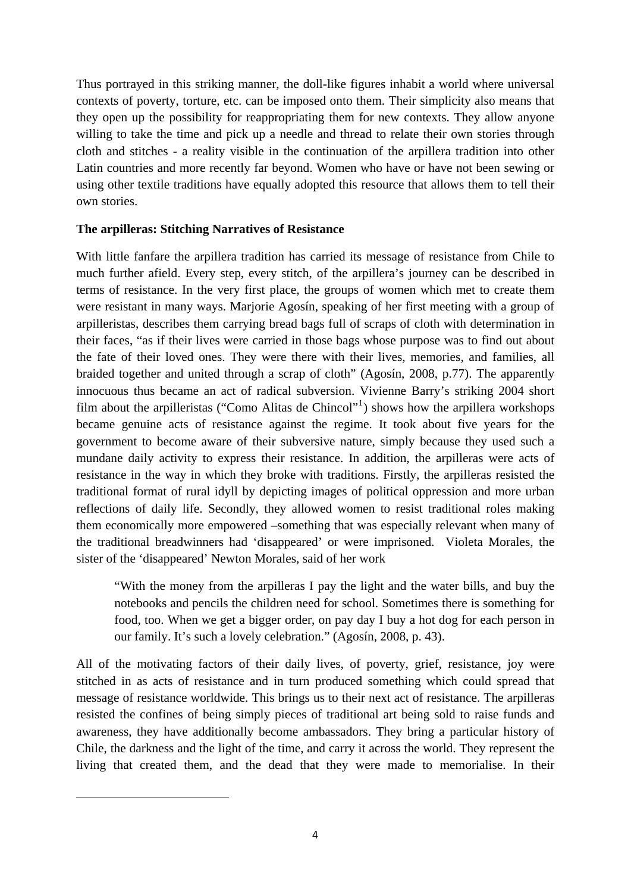Thus portrayed in this striking manner, the doll-like figures inhabit a world where universal contexts of poverty, torture, etc. can be imposed onto them. Their simplicity also means that they open up the possibility for reappropriating them for new contexts. They allow anyone willing to take the time and pick up a needle and thread to relate their own stories through cloth and stitches - a reality visible in the continuation of the arpillera tradition into other Latin countries and more recently far beyond. Women who have or have not been sewing or using other textile traditions have equally adopted this resource that allows them to tell their own stories.

#### **The arpilleras: Stitching Narratives of Resistance**

With little fanfare the arpillera tradition has carried its message of resistance from Chile to much further afield. Every step, every stitch, of the arpillera's journey can be described in terms of resistance. In the very first place, the groups of women which met to create them were resistant in many ways. Marjorie Agosín, speaking of her first meeting with a group of arpilleristas, describes them carrying bread bags full of scraps of cloth with determination in their faces, "as if their lives were carried in those bags whose purpose was to find out about the fate of their loved ones. They were there with their lives, memories, and families, all braided together and united through a scrap of cloth" (Agosín, 2008, p.77). The apparently innocuous thus became an act of radical subversion. Vivienne Barry's striking 2004 short film about the arpilleristas ("Como Alitas de Chincol"<sup>[1](#page-3-0)</sup>) shows how the arpillera workshops became genuine acts of resistance against the regime. It took about five years for the government to become aware of their subversive nature, simply because they used such a mundane daily activity to express their resistance. In addition, the arpilleras were acts of resistance in the way in which they broke with traditions. Firstly, the arpilleras resisted the traditional format of rural idyll by depicting images of political oppression and more urban reflections of daily life. Secondly, they allowed women to resist traditional roles making them economically more empowered –something that was especially relevant when many of the traditional breadwinners had 'disappeared' or were imprisoned. Violeta Morales, the sister of the 'disappeared' Newton Morales, said of her work

"With the money from the arpilleras I pay the light and the water bills, and buy the notebooks and pencils the children need for school. Sometimes there is something for food, too. When we get a bigger order, on pay day I buy a hot dog for each person in our family. It's such a lovely celebration." (Agosín, 2008, p. 43).

All of the motivating factors of their daily lives, of poverty, grief, resistance, joy were stitched in as acts of resistance and in turn produced something which could spread that message of resistance worldwide. This brings us to their next act of resistance. The arpilleras resisted the confines of being simply pieces of traditional art being sold to raise funds and awareness, they have additionally become ambassadors. They bring a particular history of Chile, the darkness and the light of the time, and carry it across the world. They represent the living that created them, and the dead that they were made to memorialise. In their

<span id="page-3-0"></span>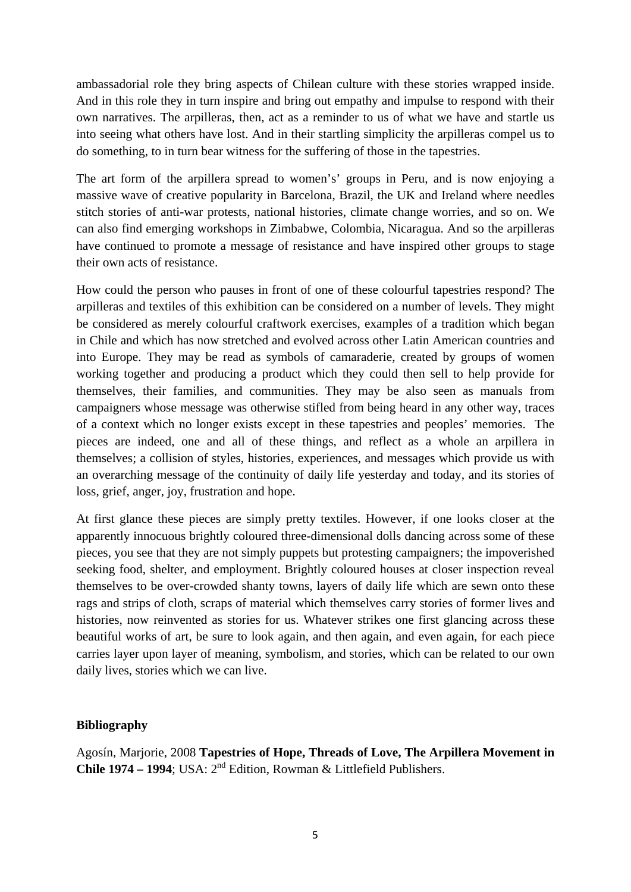ambassadorial role they bring aspects of Chilean culture with these stories wrapped inside. And in this role they in turn inspire and bring out empathy and impulse to respond with their own narratives. The arpilleras, then, act as a reminder to us of what we have and startle us into seeing what others have lost. And in their startling simplicity the arpilleras compel us to do something, to in turn bear witness for the suffering of those in the tapestries.

The art form of the arpillera spread to women's' groups in Peru, and is now enjoying a massive wave of creative popularity in Barcelona, Brazil, the UK and Ireland where needles stitch stories of anti-war protests, national histories, climate change worries, and so on. We can also find emerging workshops in Zimbabwe, Colombia, Nicaragua. And so the arpilleras have continued to promote a message of resistance and have inspired other groups to stage their own acts of resistance.

How could the person who pauses in front of one of these colourful tapestries respond? The arpilleras and textiles of this exhibition can be considered on a number of levels. They might be considered as merely colourful craftwork exercises, examples of a tradition which began in Chile and which has now stretched and evolved across other Latin American countries and into Europe. They may be read as symbols of camaraderie, created by groups of women working together and producing a product which they could then sell to help provide for themselves, their families, and communities. They may be also seen as manuals from campaigners whose message was otherwise stifled from being heard in any other way, traces of a context which no longer exists except in these tapestries and peoples' memories. The pieces are indeed, one and all of these things, and reflect as a whole an arpillera in themselves; a collision of styles, histories, experiences, and messages which provide us with an overarching message of the continuity of daily life yesterday and today, and its stories of loss, grief, anger, joy, frustration and hope.

At first glance these pieces are simply pretty textiles. However, if one looks closer at the apparently innocuous brightly coloured three-dimensional dolls dancing across some of these pieces, you see that they are not simply puppets but protesting campaigners; the impoverished seeking food, shelter, and employment. Brightly coloured houses at closer inspection reveal themselves to be over-crowded shanty towns, layers of daily life which are sewn onto these rags and strips of cloth, scraps of material which themselves carry stories of former lives and histories, now reinvented as stories for us. Whatever strikes one first glancing across these beautiful works of art, be sure to look again, and then again, and even again, for each piece carries layer upon layer of meaning, symbolism, and stories, which can be related to our own daily lives, stories which we can live.

## **Bibliography**

Agosín, Marjorie, 2008 **Tapestries of Hope, Threads of Love, The Arpillera Movement in Chile 1974 – 1994**; USA:  $2^{nd}$  Edition, Rowman & Littlefield Publishers.